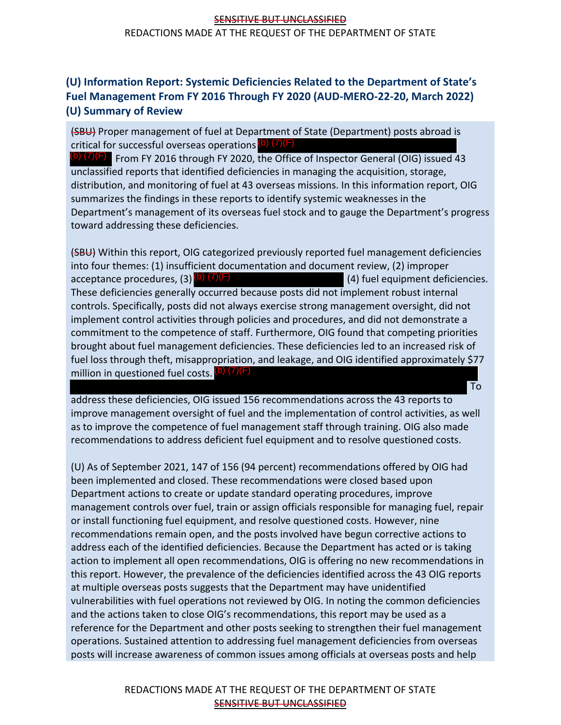## SENSITIVE BUT UNCLASSIFIED REDACTIONS MADE AT THE REQUEST OF THE DEPARTMENT OF STATE

## **(U) Information Report: Systemic Deficiencies Related to the Department of State's Fuel Management From FY 2016 Through FY 2020 (AUD-MERO-22-20, March 2022) (U) Summary of Review**

(SBU) Proper management of fuel at Department of State (Department) posts abroad is critical for successful overseas operations (b) (7)(F)

 $\overline{p}$  (7)(F) From FY 2016 through FY 2020, the Office of Inspector General (OIG) issued 43 unclassified reports that identified deficiencies in managing the acquisition, storage, distribution, and monitoring of fuel at 43 overseas missions. In this information report, OIG summarizes the findings in these reports to identify systemic weaknesses in the Department's management of its overseas fuel stock and to gauge the Department's progress toward addressing these deficiencies.

(SBU) Within this report, OIG categorized previously reported fuel management deficiencies into four themes: (1) insufficient documentation and document review, (2) improper acceptance procedures, (3)  $\overline{b}$   $\overline{7}$   $\overline{F}$   $\overline{F}$   $\overline{F}$   $\overline{F}$   $\overline{F}$   $\overline{F}$   $\overline{F}$   $\overline{F}$   $\overline{F}$   $\overline{F}$   $\overline{F}$   $\overline{F}$   $\overline{F}$   $\overline{F}$   $\overline{F}$   $\overline{F}$   $\overline{F}$   $\overline{F}$   $\overline{F}$   $\overline{$ These deficiencies generally occurred because posts did not implement robust internal controls. Specifically, posts did not always exercise strong management oversight, did not implement control activities through policies and procedures, and did not demonstrate a commitment to the competence of staff. Furthermore, OIG found that competing priorities brought about fuel management deficiencies. These deficiencies led to an increased risk of fuel loss through theft, misappropriation, and leakage, and OIG identified approximately \$77 million in questioned fuel costs. (b) (7)(F)

address these deficiencies, OIG issued 156 recommendations across the 43 reports to improve management oversight of fuel and the implementation of control activities, as well as to improve the competence of fuel management staff through training. OIG also made recommendations to address deficient fuel equipment and to resolve questioned costs.

To

(U) As of September 2021, 147 of 156 (94 percent) recommendations offered by OIG had been implemented and closed. These recommendations were closed based upon Department actions to create or update standard operating procedures, improve management controls over fuel, train or assign officials responsible for managing fuel, repair or install functioning fuel equipment, and resolve questioned costs. However, nine recommendations remain open, and the posts involved have begun corrective actions to address each of the identified deficiencies. Because the Department has acted or is taking action to implement all open recommendations, OIG is offering no new recommendations in this report. However, the prevalence of the deficiencies identified across the 43 OIG reports at multiple overseas posts suggests that the Department may have unidentified vulnerabilities with fuel operations not reviewed by OIG. In noting the common deficiencies and the actions taken to close OIG's recommendations, this report may be used as a reference for the Department and other posts seeking to strengthen their fuel management operations. Sustained attention to addressing fuel management deficiencies from overseas posts will increase awareness of common issues among officials at overseas posts and help

## REDACTIONS MADE AT THE REQUEST OF THE DEPARTMENT OF STATE SENSITIVE BUT UNCLASSIFIED